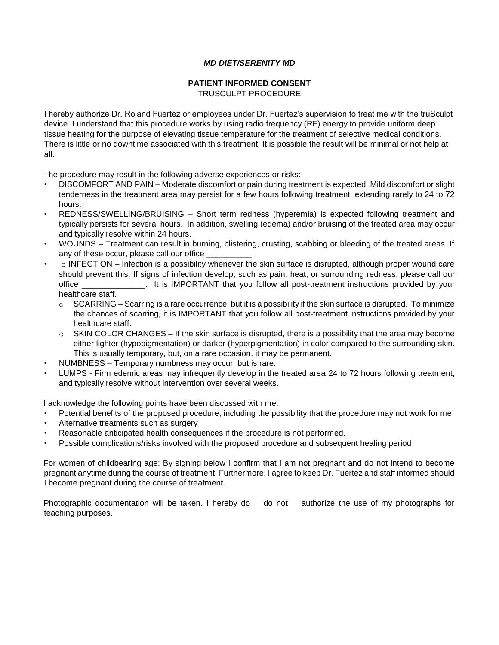## *MD DIET/SERENITY MD*

## **PATIENT INFORMED CONSENT**

TRUSCULPT PROCEDURE

I hereby authorize Dr. Roland Fuertez or employees under Dr. Fuertez's supervision to treat me with the truSculpt device. I understand that this procedure works by using radio frequency (RF) energy to provide uniform deep tissue heating for the purpose of elevating tissue temperature for the treatment of selective medical conditions. There is little or no downtime associated with this treatment. It is possible the result will be minimal or not help at all.

The procedure may result in the following adverse experiences or risks:

- DISCOMFORT AND PAIN Moderate discomfort or pain during treatment is expected. Mild discomfort or slight tenderness in the treatment area may persist for a few hours following treatment, extending rarely to 24 to 72 hours.
- REDNESS/SWELLING/BRUISING Short term redness (hyperemia) is expected following treatment and typically persists for several hours. In addition, swelling (edema) and/or bruising of the treated area may occur and typically resolve within 24 hours.
- WOUNDS Treatment can result in burning, blistering, crusting, scabbing or bleeding of the treated areas. If any of these occur, please call our office
- $\circ$  INFECTION Infection is a possibility whenever the skin surface is disrupted, although proper wound care should prevent this. If signs of infection develop, such as pain, heat, or surrounding redness, please call our office \_\_\_\_\_\_\_\_\_\_\_\_\_\_. It is IMPORTANT that you follow all post-treatment instructions provided by your healthcare staff.
	- $\circ$  SCARRING Scarring is a rare occurrence, but it is a possibility if the skin surface is disrupted. To minimize the chances of scarring, it is IMPORTANT that you follow all post-treatment instructions provided by your healthcare staff.
	- $\circ$  SKIN COLOR CHANGES If the skin surface is disrupted, there is a possibility that the area may become either lighter (hypopigmentation) or darker (hyperpigmentation) in color compared to the surrounding skin. This is usually temporary, but, on a rare occasion, it may be permanent.
- NUMBNESS Temporary numbness may occur, but is rare.
- LUMPS Firm edemic areas may infrequently develop in the treated area 24 to 72 hours following treatment, and typically resolve without intervention over several weeks.

I acknowledge the following points have been discussed with me:

- Potential benefits of the proposed procedure, including the possibility that the procedure may not work for me
- Alternative treatments such as surgery
- Reasonable anticipated health consequences if the procedure is not performed.
- Possible complications/risks involved with the proposed procedure and subsequent healing period

For women of childbearing age: By signing below I confirm that I am not pregnant and do not intend to become pregnant anytime during the course of treatment. Furthermore, I agree to keep Dr. Fuertez and staff informed should I become pregnant during the course of treatment.

Photographic documentation will be taken. I hereby do do not authorize the use of my photographs for teaching purposes.